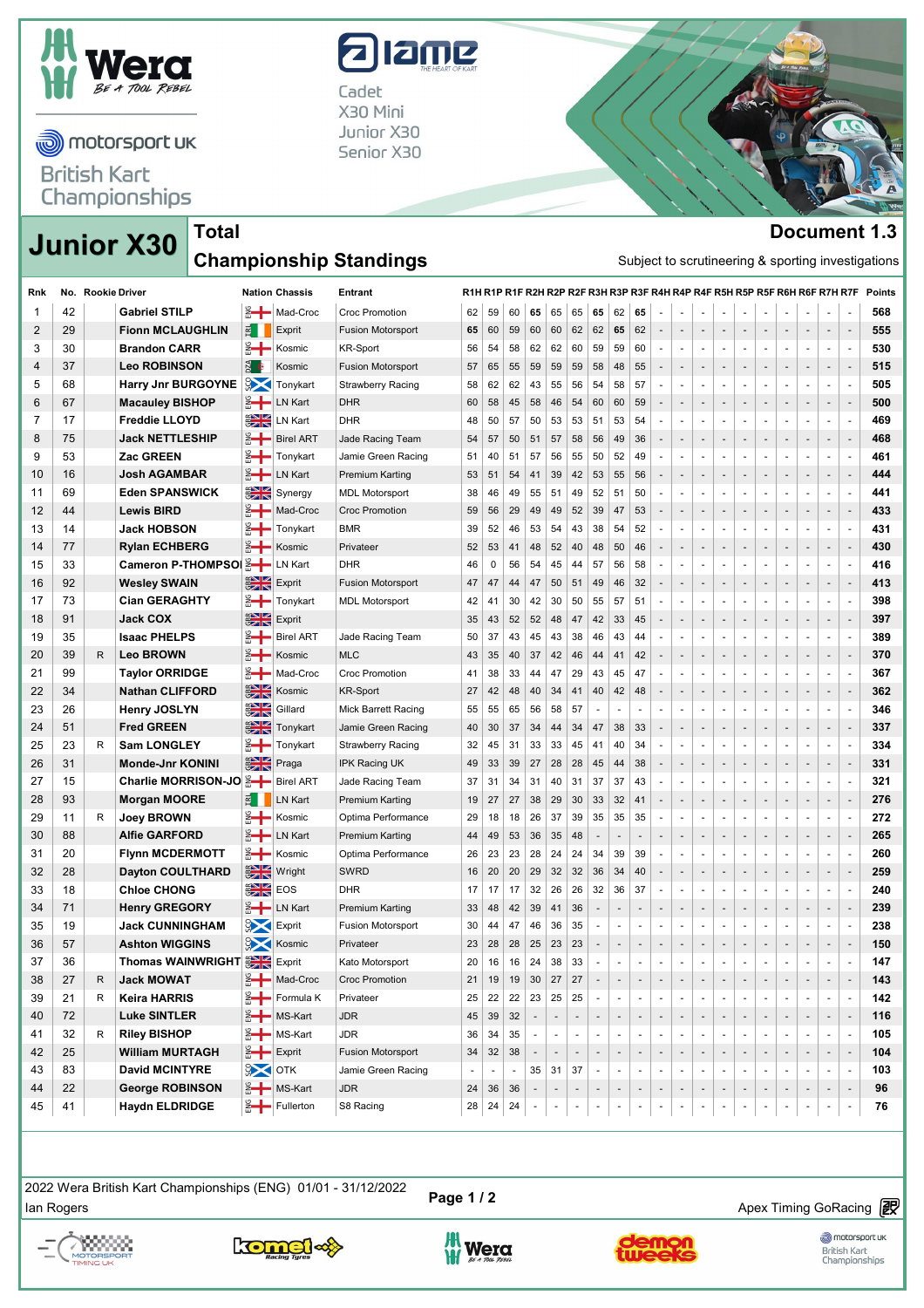

motorsport uk

**British Kart** Championships

## alame

Cadet X30 Mini Junior X30 Senior X30



## **Junior X30 Document 1.3 Championship Standings**

**Total**

| Subject to scrutineering & sporting investigations |                          |                          |                          |                          |                          |                          |                              |                          |                          |                          |                          |                          |                          |                          |                          |                          |              |                          |                                                                             | <b>Championship Standings</b> |                          |                      | <b>Junior X30</b>         |   |    |     |
|----------------------------------------------------|--------------------------|--------------------------|--------------------------|--------------------------|--------------------------|--------------------------|------------------------------|--------------------------|--------------------------|--------------------------|--------------------------|--------------------------|--------------------------|--------------------------|--------------------------|--------------------------|--------------|--------------------------|-----------------------------------------------------------------------------|-------------------------------|--------------------------|----------------------|---------------------------|---|----|-----|
| Points                                             |                          |                          |                          |                          |                          |                          |                              |                          |                          |                          |                          |                          |                          |                          |                          |                          |              |                          | R1H R1P R1F R2H R2P R2F R3H R3P R3F R4H R4P R4F R5H R5P R5F R6H R6F R7H R7F | Entrant                       | <b>Nation Chassis</b>    |                      | No. Rookie Driver         |   |    | Rnk |
| 568                                                | $\blacksquare$           | $\blacksquare$           |                          | $\overline{\phantom{a}}$ | $\blacksquare$           | $\sim$                   | $\sim$                       | $\overline{\phantom{a}}$ | $\overline{\phantom{a}}$ | $\blacksquare$           | 65                       | 62                       | 65                       | 65                       | 65                       | 65                       | 60           | 59                       | 62                                                                          | <b>Croc Promotion</b>         | 음 Mad-Croc               |                      | <b>Gabriel STILP</b>      |   | 42 | 1   |
| 555                                                | $\overline{\phantom{a}}$ |                          |                          |                          |                          | $\overline{\phantom{a}}$ |                              | $\overline{\phantom{a}}$ | $\overline{\phantom{a}}$ |                          | 62                       | 65                       | 62                       | 62                       | 60                       | 60                       | 59           | 60                       | 65                                                                          | <b>Fusion Motorsport</b>      | Exprit                   | E                    | <b>Fionn MCLAUGHLIN</b>   |   | 29 | 2   |
| 530                                                | $\sim$                   | $\blacksquare$           | $\sim$                   | $\sim$                   | $\overline{\phantom{a}}$ | $\overline{\phantom{a}}$ | $\blacksquare$               | $\sim$                   | $\overline{\phantom{a}}$ | $\sim$                   | 60                       | 59                       | 59                       | 60                       | 62                       | 62                       | 58           | 54                       | 56                                                                          | <b>KR-Sport</b>               | Kosmic                   |                      | <b>Brandon CARR</b>       |   | 30 | 3   |
| 515                                                | $\overline{\phantom{a}}$ | $\overline{\phantom{a}}$ | $\overline{\phantom{a}}$ | ÷                        | $\overline{\phantom{a}}$ | $\overline{\phantom{a}}$ | ٠                            | ٠                        | $\overline{\phantom{a}}$ | $\overline{\phantom{a}}$ | 55                       | 48                       | 58                       | 59                       | 59                       | 59                       | 55           | 65                       | 57                                                                          | <b>Fusion Motorsport</b>      | Kosmic                   | <b>PZA</b>           | <b>Leo ROBINSON</b>       |   | 37 | 4   |
| 505                                                | $\sim$                   | $\blacksquare$           | $\sim$                   | ÷.                       | $\overline{\phantom{a}}$ | $\sim$                   |                              | ÷.                       | $\overline{\phantom{a}}$ |                          | 57                       | 58                       | 54                       | 56                       | 55                       | 43                       | 62           | 62                       | 58                                                                          | <b>Strawberry Racing</b>      | Tonykart                 | $\frac{1}{2}$        | <b>Harry Jnr BURGOYNE</b> |   | 68 | 5   |
| 500                                                | $\overline{\phantom{a}}$ | $\overline{\phantom{a}}$ |                          |                          |                          | f,                       |                              | $\overline{\phantom{a}}$ | $\overline{\phantom{m}}$ |                          | 59                       | 60                       | 60                       | 54                       | 46                       | 58                       | 45           | 58                       | 60                                                                          | <b>DHR</b>                    | <b>LN Kart</b>           | ै ⊹                  | <b>Macauley BISHOP</b>    |   | 67 | 6   |
| 469                                                | $\blacksquare$           | $\blacksquare$           | $\sim$                   | $\sim$                   | $\sim$                   | $\overline{\phantom{a}}$ | $\sim$                       | $\sim$                   | $\overline{\phantom{a}}$ | ×.                       | 54                       | 53                       | 51                       | 53                       | 53                       | 50                       | 57           | 50                       | 48                                                                          | <b>DHR</b>                    | LN Kart                  | $rac{1}{2}$          | <b>Freddie LLOYD</b>      |   | 17 | 7   |
| 468                                                | $\overline{\phantom{a}}$ | $\overline{\phantom{a}}$ | $\overline{\phantom{a}}$ | $\overline{\phantom{a}}$ | $\overline{\phantom{a}}$ | $\overline{a}$           | $\sim$                       | $\overline{\phantom{a}}$ | $\overline{\phantom{a}}$ |                          | 36                       | 49                       | 56                       | 58                       | 57                       | 51                       | 50           | 57                       | 54                                                                          | Jade Racing Team              | <b>Birel ART</b>         |                      | <b>Jack NETTLESHIP</b>    |   | 75 | 8   |
| 461                                                | $\blacksquare$           | $\blacksquare$           | $\sim$                   | $\sim$                   | $\overline{\phantom{a}}$ | $\sim$                   | $\sim$                       | $\sim$                   | $\overline{\phantom{a}}$ | ×.                       | 49                       | 52                       | 50                       | 55                       | 56                       | 57                       | 51           | 40                       | 51                                                                          | Jamie Green Racing            | Tonykart                 |                      | Zac GREEN                 |   | 53 | 9   |
| 444                                                | $\overline{\phantom{a}}$ | $\overline{\phantom{a}}$ |                          |                          |                          | $\overline{\phantom{a}}$ | $\overline{\phantom{0}}$     | $\overline{\phantom{a}}$ | $\overline{\phantom{a}}$ |                          | 56                       | 55                       | 53                       | 42                       | 39                       | 41                       | 54           | 51                       | 53                                                                          | <b>Premium Karting</b>        | LN Kart                  |                      | <b>Josh AGAMBAR</b>       |   | 16 | 10  |
| 441                                                | $\blacksquare$           | $\blacksquare$           | $\overline{\phantom{a}}$ | $\sim$                   | $\overline{\phantom{a}}$ | $\overline{\phantom{a}}$ | $\blacksquare$               | $\overline{\phantom{a}}$ | $\blacksquare$           | $\sim$                   | 50                       | 51                       | 52                       | 49                       | 51                       | 55                       | 49           | 46                       | 38                                                                          | <b>MDL Motorsport</b>         | Synergy                  | $\frac{1}{2}$        | <b>Eden SPANSWICK</b>     |   | 69 | 11  |
| 433                                                | $\overline{\phantom{a}}$ | $\overline{\phantom{a}}$ | $\overline{\phantom{a}}$ | $\overline{\phantom{a}}$ | $\overline{\phantom{a}}$ | $\overline{\phantom{a}}$ | $\overline{\phantom{a}}$     | $\overline{\phantom{a}}$ | $\overline{\phantom{a}}$ | $\overline{\phantom{a}}$ | 53                       | 47                       | 39                       | 52                       | 49                       | 49                       | 29           | 56                       | 59                                                                          | <b>Croc Promotion</b>         | Mad-Croc                 | ै ⊹                  | <b>Lewis BIRD</b>         |   | 44 | 12  |
| 431                                                | $\sim$                   | $\blacksquare$           | $\overline{\phantom{a}}$ |                          |                          | ÷,                       |                              | $\overline{\phantom{a}}$ | ×,                       |                          | 52                       | 54                       | 38                       | 43                       | 54                       | 53                       | 46           | 52                       | 39                                                                          | <b>BMR</b>                    | Tonykart                 | ै ⊹                  | <b>Jack HOBSON</b>        |   | 14 | 13  |
| 430                                                | $\overline{\phantom{a}}$ |                          |                          |                          |                          |                          |                              |                          |                          |                          | 46                       | 50                       | 48                       | 40                       | 52                       | 48                       | 41           | 53                       | 52                                                                          | Privateer                     | Kosmic                   | इ—                   | <b>Rylan ECHBERG</b>      |   | 77 | 14  |
| 416                                                | $\blacksquare$           | $\blacksquare$           | ×.                       | $\sim$                   | $\sim$                   | $\sim$                   | $\sim$                       | $\sim$                   | $\sim$                   | $\sim$                   | 58                       | 56                       | 57                       | 44                       | 45                       | 54                       | 56           | 0                        | 46                                                                          | <b>DHR</b>                    | LN Kart                  |                      | Cameron P-THOMPSO   음-    |   | 33 | 15  |
| 413                                                | $\overline{\phantom{a}}$ | $\overline{\phantom{a}}$ | $\overline{\phantom{a}}$ | $\overline{\phantom{a}}$ | $\overline{\phantom{a}}$ | $\overline{\phantom{a}}$ | $\overline{\phantom{a}}$     | $\overline{\phantom{a}}$ | $\overline{\phantom{a}}$ |                          | 32                       | 46                       | 49                       | 51                       | 50                       | 47                       | 44           | 47                       | 47                                                                          | <b>Fusion Motorsport</b>      | Exprit                   | $rac{2}{3}$          | <b>Wesley SWAIN</b>       |   | 92 | 16  |
| 398                                                | $\blacksquare$           | $\blacksquare$           | $\sim$                   |                          | ÷,                       | $\overline{\phantom{a}}$ | $\sim$                       | $\sim$                   | $\overline{\phantom{a}}$ |                          | 51                       | 57                       | 55                       | 50                       | 30                       | 42                       | 30           | 41                       | 42                                                                          | <b>MDL Motorsport</b>         | Tonykart                 | ै ⊹                  | <b>Cian GERAGHTY</b>      |   | 73 | 17  |
| 397                                                | $\overline{\phantom{a}}$ | $\overline{\phantom{a}}$ |                          |                          |                          | $\overline{\phantom{a}}$ |                              | $\overline{\phantom{a}}$ | $\overline{\phantom{a}}$ |                          | 45                       | 33                       | 42                       | 47                       | 48                       | 52                       | 52           | 43                       | 35                                                                          |                               | Exprit                   | $\frac{1}{2}$        | <b>Jack COX</b>           |   | 91 | 18  |
| 389                                                | $\sim$                   | $\overline{\phantom{a}}$ | $\overline{\phantom{a}}$ | $\sim$                   | $\overline{\phantom{a}}$ | $\overline{\phantom{a}}$ | $\blacksquare$               | $\sim$                   | $\overline{\phantom{a}}$ | $\sim$                   | 44                       | 43                       | 46                       | 38                       | 43                       | 45                       | 43           | 37                       | 50                                                                          | Jade Racing Team              | <b>Birel ART</b>         | ै ⊹                  | <b>Isaac PHELPS</b>       |   | 35 | 19  |
| 370                                                | $\overline{\phantom{a}}$ | $\overline{\phantom{a}}$ | $\overline{\phantom{a}}$ | $\overline{\phantom{a}}$ | $\overline{\phantom{a}}$ | $\overline{\phantom{a}}$ | $\qquad \qquad \blacksquare$ | $\overline{\phantom{a}}$ | $\overline{\phantom{m}}$ | $\overline{\phantom{a}}$ | 42                       | 41                       | 44                       | 46                       | 42                       | 37                       | 40           | 35                       | 43                                                                          | <b>MLC</b>                    | Kosmic                   | ै +                  | <b>Leo BROWN</b>          | R | 39 | 20  |
| 367                                                | $\sim$                   | $\blacksquare$           | $\sim$                   | ÷.                       | $\overline{\phantom{a}}$ | $\sim$                   | $\blacksquare$               | $\overline{\phantom{a}}$ | $\overline{\phantom{a}}$ |                          | 47                       | 45                       | 43                       | 29                       | 47                       | 44                       | 33           | 38                       | 41                                                                          | <b>Croc Promotion</b>         | Mad-Croc                 | ै ⊹                  | <b>Taylor ORRIDGE</b>     |   | 99 | 21  |
| 362                                                | $\overline{\phantom{a}}$ |                          |                          |                          |                          |                          |                              | $\overline{\phantom{a}}$ |                          |                          | 48                       | 42                       | 40                       | 41                       | 34                       | 40                       | 48           | 42                       | 27                                                                          | <b>KR-Sport</b>               | Kosmic                   | $\frac{1}{2}$        | <b>Nathan CLIFFORD</b>    |   | 34 | 22  |
| 346                                                | $\blacksquare$           | $\overline{\phantom{a}}$ | $\sim$                   | $\sim$                   | $\sim$                   | $\overline{\phantom{a}}$ | $\sim$                       | $\sim$                   | $\blacksquare$           | $\sim$                   | $\sim$                   | ÷                        | $\overline{\phantom{a}}$ | 57                       | 58                       | 56                       | 65           | 55                       | 55                                                                          | <b>Mick Barrett Racing</b>    | Gillard                  | $\frac{1}{\sqrt{2}}$ | <b>Henry JOSLYN</b>       |   | 26 | 23  |
| 337                                                | $\overline{\phantom{a}}$ | $\overline{\phantom{a}}$ | $\overline{\phantom{a}}$ | $\overline{\phantom{a}}$ | $\overline{\phantom{a}}$ | $\overline{\phantom{a}}$ | $\sim$                       | $\overline{\phantom{a}}$ | $\overline{\phantom{a}}$ | $\sim$                   | 33                       | 38                       | 47                       | 34                       | 44                       | 34                       | 37           | 30                       | 40                                                                          | Jamie Green Racing            | Tonykart                 | $\frac{1}{2}$        | <b>Fred GREEN</b>         |   | 51 | 24  |
| 334                                                | $\blacksquare$           | $\blacksquare$           | $\sim$                   | $\overline{\phantom{a}}$ | $\sim$                   | $\overline{\phantom{a}}$ | $\blacksquare$               | $\overline{\phantom{a}}$ | $\overline{\phantom{a}}$ | $\sim$                   | 34                       | 40                       | 41                       | 45                       | 33                       | 33                       | 31           | 45                       | 32                                                                          | <b>Strawberry Racing</b>      | Tonykart                 | ै ⊹                  | <b>Sam LONGLEY</b>        | R | 23 | 25  |
| 331                                                | $\overline{\phantom{a}}$ | $\overline{\phantom{a}}$ |                          |                          |                          | $\overline{\phantom{a}}$ | $\overline{\phantom{0}}$     | $\overline{\phantom{a}}$ | $\overline{\phantom{a}}$ |                          | 38                       | 44                       | 45                       | 28                       | 28                       | 27                       | 39           | 33                       | 49                                                                          | <b>IPK Racing UK</b>          | Praga                    | $rac{20}{20}$        | Monde-Jnr KONINI          |   | 31 | 26  |
| 321                                                | $\blacksquare$           | $\overline{\phantom{a}}$ | $\overline{\phantom{a}}$ | $\overline{\phantom{a}}$ | $\overline{\phantom{a}}$ | $\overline{\phantom{a}}$ | $\blacksquare$               | $\overline{\phantom{a}}$ | $\overline{\phantom{a}}$ | $\overline{\phantom{a}}$ | 43                       | 37                       | 37                       | 31                       | 40                       | 31                       | 34           | 31                       | 37                                                                          | Jade Racing Team              | <b>Birel ART</b>         |                      | Charlie MORRISON-JO 2-    |   | 15 | 27  |
| 276                                                | $\overline{\phantom{a}}$ | $\overline{\phantom{a}}$ | $\overline{\phantom{a}}$ | $\overline{\phantom{a}}$ | $\overline{\phantom{a}}$ | ÷                        | $\overline{\phantom{a}}$     | $\overline{\phantom{a}}$ | $\overline{\phantom{a}}$ | $\overline{\phantom{a}}$ | 41                       | 32                       | 33                       | 30                       | 29                       | 38                       | 27           | 27                       | 19                                                                          | <b>Premium Karting</b>        | LN Kart                  | E                    | <b>Morgan MOORE</b>       |   | 93 | 28  |
| 272                                                | $\sim$                   | $\blacksquare$           | $\overline{\phantom{a}}$ | $\overline{\phantom{a}}$ | $\overline{\phantom{a}}$ | $\sim$                   | $\blacksquare$               | ÷                        | $\overline{\phantom{a}}$ |                          | 35                       | 35                       | 35                       | 39                       | 37                       | 26                       | 18           | 18                       | 29                                                                          | Optima Performance            | Kosmic                   | ै ⊹                  | <b>Joey BROWN</b>         | R | 11 | 29  |
| 265                                                | $\overline{\phantom{a}}$ |                          |                          |                          |                          |                          |                              |                          |                          |                          |                          | $\overline{a}$           |                          | 48                       | 35                       | 36                       | 53           | 49                       | 44                                                                          | <b>Premium Karting</b>        | LN Kart                  | इ—∣                  | <b>Alfie GARFORD</b>      |   | 88 | 30  |
| 260                                                | $\sim$                   | $\overline{\phantom{a}}$ | $\sim$                   | $\sim$                   | $\overline{\phantom{a}}$ | $\overline{\phantom{a}}$ | $\sim$                       | $\overline{\phantom{a}}$ | $\overline{\phantom{a}}$ | $\sim$                   | 39                       | 39                       | 34                       | 24                       | 24                       | 28                       | 23           | 23                       | 26                                                                          | Optima Performance            | Kosmic                   | ै ⊹                  | <b>Flynn MCDERMOTT</b>    |   | 20 | 31  |
| 259                                                | $\overline{\phantom{a}}$ | $\overline{\phantom{a}}$ | $\overline{\phantom{a}}$ | $\overline{\phantom{a}}$ | $\overline{\phantom{a}}$ | $\overline{\phantom{a}}$ | $\sim$                       | $\overline{\phantom{a}}$ | $\overline{\phantom{a}}$ |                          | 40                       | 34                       | 36                       | 32                       | 32                       | 29                       | 20           | 20                       | 16                                                                          | <b>SWRD</b>                   | Wright                   | $\frac{1}{2}$        | <b>Dayton COULTHARD</b>   |   | 28 | 32  |
| 240                                                | $\blacksquare$           | $\blacksquare$           | $\overline{\phantom{a}}$ | $\overline{\phantom{a}}$ | $\overline{\phantom{a}}$ | $\overline{\phantom{a}}$ | $\overline{\phantom{a}}$     | $\overline{\phantom{a}}$ | $\overline{\phantom{a}}$ | $\sim$                   | 37                       | 36                       | 32                       | 26                       | 26                       | 32                       | 17           | 17                       | 17                                                                          | <b>DHR</b>                    | EOS                      | $\frac{1}{2}$        | <b>Chloe CHONG</b>        |   | 18 | 33  |
| 239                                                | $\overline{\phantom{a}}$ |                          |                          |                          |                          | $\overline{a}$           |                              | $\overline{\phantom{a}}$ |                          |                          |                          |                          |                          | 36                       | 41                       | 39                       | 42           | 48                       | 33                                                                          | <b>Premium Karting</b>        | LN Kart                  |                      | <b>Henry GREGORY</b>      |   | 71 | 34  |
| 238                                                | $\sim$                   | ÷.                       | $\sim$                   |                          | $\overline{a}$           | $\sim$                   | $\sim$                       | $\sim$                   | $\sim$                   | $\sim$                   | $\overline{a}$           | $\sim$                   | ÷.                       | 35                       | 36                       | 46                       | 47           | 44                       | 30                                                                          | <b>Fusion Motorsport</b>      | Exprit                   | $\mathbb{R}^3$       | <b>Jack CUNNINGHAM</b>    |   | 19 | 35  |
| 150                                                |                          | $\overline{\phantom{a}}$ |                          |                          |                          |                          |                              |                          |                          |                          |                          |                          |                          | 23                       | 23                       | 25                       | 28           | 28                       | 23                                                                          | Privateer                     | Kosmic                   | $\mathbb{Z}^3$       | <b>Ashton WIGGINS</b>     |   | 57 | 36  |
| 147                                                | $\sim$                   | $\overline{\phantom{a}}$ | $\overline{\phantom{a}}$ |                          | $\sim$                   | $\overline{\phantom{a}}$ | $\sim$                       | $\overline{\phantom{a}}$ |                          |                          | $\overline{\phantom{a}}$ | $\overline{\phantom{a}}$ | $\overline{\phantom{a}}$ | 33                       | 38                       | 24                       | 16           | 16                       | 20                                                                          | Kato Motorsport               | Exprit                   |                      | Thomas WAINWRIGHT         |   | 36 | 37  |
| 143                                                | $\overline{\phantom{a}}$ |                          |                          |                          |                          |                          |                              |                          |                          |                          |                          | $\overline{\phantom{a}}$ | $\overline{\phantom{a}}$ | 27                       | 27                       |                          | $19 \mid 30$ | 19                       | 21                                                                          | <b>Croc Promotion</b>         | 음 Mad-Croc               |                      | <b>Jack MOWAT</b>         | R | 27 | 38  |
| 142                                                | $\overline{\phantom{a}}$ | $\overline{\phantom{a}}$ |                          |                          |                          |                          |                              |                          |                          |                          |                          |                          | $\overline{\phantom{a}}$ | 25                       | 25                       | 23                       | 22           | 22                       | 25                                                                          | Privateer                     | Formula K                | ै ⊹                  | <b>Keira HARRIS</b>       | R | 21 | 39  |
| 116                                                | $\overline{\phantom{a}}$ | $\overline{\phantom{a}}$ |                          |                          |                          | ÷                        |                              | $\overline{\phantom{a}}$ | $\overline{\phantom{m}}$ |                          |                          | $\overline{\phantom{a}}$ |                          | $\overline{\phantom{a}}$ | $\overline{\phantom{a}}$ | $\overline{\phantom{a}}$ | 32           | 39                       | 45                                                                          | <b>JDR</b>                    | 음 <del>대</del> MS-Kart   |                      | <b>Luke SINTLER</b>       |   | 72 | 40  |
| 105                                                |                          | $\overline{\phantom{a}}$ |                          |                          |                          |                          |                              |                          |                          | $\sim$                   | $\overline{\phantom{a}}$ | $\overline{\phantom{a}}$ | $\overline{\phantom{a}}$ | $\overline{\phantom{a}}$ | $\overline{\phantom{a}}$ |                          | 35           | 34                       | 36                                                                          | <b>JDR</b>                    | ※ <del>│</del> MS-Kart   |                      | <b>Riley BISHOP</b>       | R | 32 | 41  |
| 104                                                | $\overline{\phantom{a}}$ |                          |                          |                          |                          |                          |                              | $\overline{\phantom{a}}$ |                          |                          |                          | $\blacksquare$           |                          | $\overline{\phantom{a}}$ | $\overline{\phantom{a}}$ | $\overline{\phantom{a}}$ | 38           | 32                       | 34                                                                          | <b>Fusion Motorsport</b>      | Exprit                   |                      | <b>William MURTAGH</b>    |   | 25 | 42  |
| 103                                                | $\sim$                   |                          |                          |                          | $\overline{\phantom{a}}$ | $\overline{\phantom{a}}$ | $\overline{\phantom{a}}$     | $\overline{\phantom{a}}$ |                          |                          | $\overline{\phantom{a}}$ | $\overline{\phantom{a}}$ | $\overline{\phantom{a}}$ | 37                       | 31                       | 35                       |              | $\overline{\phantom{a}}$ | $\overline{\phantom{a}}$                                                    | Jamie Green Racing            | $\frac{1}{2}$ OTK        |                      | <b>David MCINTYRE</b>     |   | 83 | 43  |
| 96                                                 | $\overline{\phantom{a}}$ |                          |                          |                          |                          |                          |                              |                          |                          |                          |                          |                          |                          |                          |                          |                          | 36           | 36                       | 24                                                                          | <b>JDR</b>                    | 음 <del>대</del> MS-Kart   |                      | <b>George ROBINSON</b>    |   | 22 | 44  |
| 76                                                 | $\overline{\phantom{a}}$ | $\overline{\phantom{a}}$ |                          |                          |                          | $\overline{\phantom{a}}$ |                              |                          | $\overline{\phantom{a}}$ | $\overline{\phantom{a}}$ |                          | ÷                        | $\overline{\phantom{a}}$ |                          |                          |                          | 24           | 24                       | 28                                                                          | S8 Racing                     | 음 <del>대</del> Fullerton |                      | <b>Haydn ELDRIDGE</b>     |   | 41 | 45  |

2022 Wera British Nart Championships (ENG) 01/01 - 31/12/2022<br>Ian Rogers Apex Timing GoRacing **in the set of the State of Page 1 / 2** 2022 Wera British Kart Championships (ENG) 01/01 - 31/12/2022

 $\overline{\phantom{a}}$  and drive your success https://www.apex-timing.com/